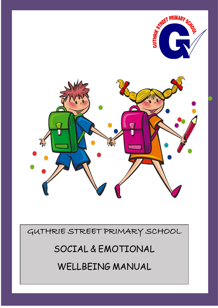

GUTHRIE STREET PRIMARY SCHOOL

SOCIAL & EMOTIONAL

WELLBEING MANUAL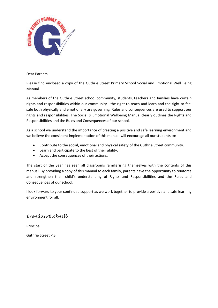

Dear Parents,

Please find enclosed a copy of the Guthrie Street Primary School Social and Emotional Well Being Manual.

As members of the Guthrie Street school community, students, teachers and families have certain rights and responsibilities within our community - the right to teach and learn and the right to feel safe both physically and emotionally are governing. Rules and consequences are used to support our rights and responsibilities. The Social & Emotional Wellbeing Manual clearly outlines the Rights and Responsibilities and the Rules and Consequences of our school.

As a school we understand the importance of creating a positive and safe learning environment and we believe the consistent implementation of this manual will encourage all our students to:

- Contribute to the social, emotional and physical safety of the Guthrie Street community.
- Learn and participate to the best of their ability.
- Accept the consequences of their actions.

The start of the year has seen all classrooms familiarising themselves with the contents of this manual. By providing a copy of this manual to each family, parents have the opportunity to reinforce and strengthen their child's understanding of Rights and Responsibilities and the Rules and Consequences of our school.

I look forward to your continued support as we work together to provide a positive and safe learning environment for all.

#### *Brendan Bicknell*

Principal

Guthrie Street P.S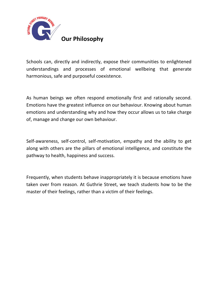

Schools can, directly and indirectly, expose their communities to enlightened understandings and processes of emotional wellbeing that generate harmonious, safe and purposeful coexistence.

As human beings we often respond emotionally first and rationally second. Emotions have the greatest influence on our behaviour. Knowing about human emotions and understanding why and how they occur allows us to take charge of, manage and change our own behaviour.

Self-awareness, self-control, self-motivation, empathy and the ability to get along with others are the pillars of emotional intelligence, and constitute the pathway to health, happiness and success.

Frequently, when students behave inappropriately it is because emotions have taken over from reason. At Guthrie Street, we teach students how to be the master of their feelings, rather than a victim of their feelings.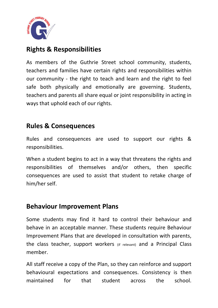

## **Rights & Responsibilities**

As members of the Guthrie Street school community, students, teachers and families have certain rights and responsibilities within our community - the right to teach and learn and the right to feel safe both physically and emotionally are governing. Students, teachers and parents all share equal or joint responsibility in acting in ways that uphold each of our rights.

## **Rules & Consequences**

Rules and consequences are used to support our rights & responsibilities.

When a student begins to act in a way that threatens the rights and responsibilities of themselves and/or others, then specific consequences are used to assist that student to retake charge of him/her self.

## **Behaviour Improvement Plans**

Some students may find it hard to control their behaviour and behave in an acceptable manner. These students require Behaviour Improvement Plans that are developed in consultation with parents, the class teacher, support workers (if relevant) and a Principal Class member.

All staff receive a copy of the Plan, so they can reinforce and support behavioural expectations and consequences. Consistency is then maintained for that student across the school.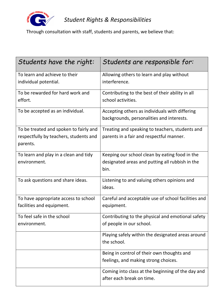

# *Student Rights & Responsibilities*

Through consultation with staff, students and parents, we believe that:

| Students have the right:                           | Students are responsible for:                       |  |
|----------------------------------------------------|-----------------------------------------------------|--|
| To learn and achieve to their                      | Allowing others to learn and play without           |  |
| individual potential.                              | interference.                                       |  |
| To be rewarded for hard work and                   | Contributing to the best of their ability in all    |  |
| effort.                                            | school activities.                                  |  |
| To be accepted as an individual.                   | Accepting others as individuals with differing      |  |
|                                                    | backgrounds, personalities and interests.           |  |
| To be treated and spoken to fairly and             | Treating and speaking to teachers, students and     |  |
| respectfully by teachers, students and<br>parents. | parents in a fair and respectful manner.            |  |
| To learn and play in a clean and tidy              | Keeping our school clean by eating food in the      |  |
| environment.                                       | designated areas and putting all rubbish in the     |  |
|                                                    | bin.                                                |  |
| To ask questions and share ideas.                  | Listening to and valuing others opinions and        |  |
|                                                    | ideas.                                              |  |
| To have appropriate access to school               | Careful and acceptable use of school facilities and |  |
| facilities and equipment.                          | equipment.                                          |  |
| To feel safe in the school                         | Contributing to the physical and emotional safety   |  |
| environment.                                       | of people in our school.                            |  |
|                                                    | Playing safely within the designated areas around   |  |
|                                                    | the school.                                         |  |
|                                                    | Being in control of their own thoughts and          |  |
|                                                    | feelings, and making strong choices.                |  |
|                                                    | Coming into class at the beginning of the day and   |  |
|                                                    | after each break on time.                           |  |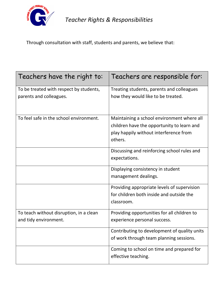

*Teacher Rights & Responsibilities*

## Through consultation with staff, students and parents, we believe that:

| Teachers have the right to:                                        | Teachers are responsible for:                                                   |
|--------------------------------------------------------------------|---------------------------------------------------------------------------------|
| To be treated with respect by students,<br>parents and colleagues. | Treating students, parents and colleagues<br>how they would like to be treated. |
|                                                                    |                                                                                 |
| To feel safe in the school environment.                            | Maintaining a school environment where all                                      |
|                                                                    | children have the opportunity to learn and                                      |
|                                                                    | play happily without interference from                                          |
|                                                                    | others.                                                                         |
|                                                                    | Discussing and reinforcing school rules and                                     |
|                                                                    | expectations.                                                                   |
|                                                                    | Displaying consistency in student                                               |
|                                                                    | management dealings.                                                            |
|                                                                    | Providing appropriate levels of supervision                                     |
|                                                                    | for children both inside and outside the                                        |
|                                                                    | classroom.                                                                      |
| To teach without disruption, in a clean                            | Providing opportunities for all children to                                     |
| and tidy environment.                                              | experience personal success.                                                    |
|                                                                    | Contributing to development of quality units                                    |
|                                                                    | of work through team planning sessions.                                         |
|                                                                    | Coming to school on time and prepared for<br>effective teaching.                |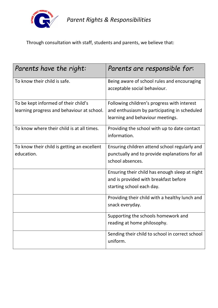

*Parent Rights & Responsibilities*

Through consultation with staff, students and parents, we believe that:

| Parents have the right:                     | Parents are responsible for:                                                |
|---------------------------------------------|-----------------------------------------------------------------------------|
| To know their child is safe.                | Being aware of school rules and encouraging<br>acceptable social behaviour. |
| To be kept informed of their child's        | Following children's progress with interest                                 |
| learning progress and behaviour at school.  | and enthusiasm by participating in scheduled                                |
|                                             | learning and behaviour meetings.                                            |
| To know where their child is at all times.  | Providing the school with up to date contact<br>information.                |
| To know their child is getting an excellent | Ensuring children attend school regularly and                               |
| education.                                  | punctually and to provide explanations for all                              |
|                                             | school absences.                                                            |
|                                             | Ensuring their child has enough sleep at night                              |
|                                             | and is provided with breakfast before                                       |
|                                             | starting school each day.                                                   |
|                                             | Providing their child with a healthy lunch and                              |
|                                             | snack everyday.                                                             |
|                                             | Supporting the schools homework and                                         |
|                                             | reading at home philosophy.                                                 |
|                                             | Sending their child to school in correct school<br>uniform.                 |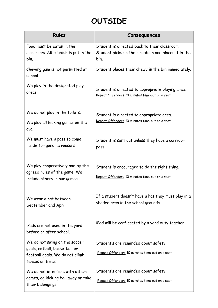# **OUTSIDE**

| <b>Rules</b>                                            | Consequences                                        |  |
|---------------------------------------------------------|-----------------------------------------------------|--|
| Food must be eaten in the                               | Student is directed back to their classroom.        |  |
| classroom. All rubbish is put in the                    | Student picks up their rubbish and places it in the |  |
| bin.                                                    | bin.                                                |  |
| Chewing gum is not permitted at<br>school.              | Student places their chewy in the bin immediately.  |  |
| We play in the designated play                          | Student is directed to appropriate playing area.    |  |
| areas.                                                  | Repeat Offenders 10 minutes time-out on a seat      |  |
|                                                         |                                                     |  |
| We do not play in the toilets.                          | Student is directed to appropriate area.            |  |
| We play all kicking games on the                        | Repeat Offenders 10 minutes time-out on a seat      |  |
| oval                                                    |                                                     |  |
| We must have a pass to come                             | Student is sent out unless they have a corridor     |  |
| inside for genuine reasons                              | pass                                                |  |
|                                                         |                                                     |  |
| We play cooperatively and by the                        | Student is encouraged to do the right thing.        |  |
| agreed rules of the game. We                            |                                                     |  |
| include others in our games.                            | Repeat Offenders 10 minutes time-out on a seat      |  |
|                                                         |                                                     |  |
| We wear a hat between                                   | If a student doesn't have a hat they must play in a |  |
| September and April.                                    | shaded area in the school grounds.                  |  |
|                                                         |                                                     |  |
| iPads are not used in the yard,                         | iPad will be confiscated by a yard duty teacher     |  |
| before or after school.                                 |                                                     |  |
| We do not swing on the soccer                           | Student's are reminded about safety.                |  |
| goals, netball, basketball or                           | Repeat Offenders 10 minutes time-out on a seat      |  |
| football goals. We do not climb                         |                                                     |  |
| fences or trees                                         |                                                     |  |
| We do not interfere with others                         | Student's are reminded about safety.                |  |
| games, eg kicking ball away or take<br>their belongings | Repeat Offenders 10 minutes time-out on a seat      |  |
|                                                         |                                                     |  |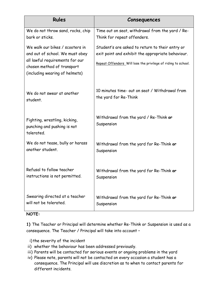| <b>Rules</b>                                                                                                                                                          | Consequences                                                                                                                                                          |
|-----------------------------------------------------------------------------------------------------------------------------------------------------------------------|-----------------------------------------------------------------------------------------------------------------------------------------------------------------------|
| We do not throw sand, rocks, chip                                                                                                                                     | Time out on seat, withdrawal from the yard / Re-                                                                                                                      |
| bark or sticks.                                                                                                                                                       | Think for repeat offenders.                                                                                                                                           |
| We walk our bikes / scooters in<br>and out of school. We must obey<br>all lawful requirements for our<br>chosen method of transport<br>(including wearing of helmets) | Student's are asked to return to their entry or<br>exit point and exhibit the appropriate behaviour.<br>Repeat Offenders Will lose the privilege of riding to school. |
| We do not swear at another                                                                                                                                            | 10 minutes time- out on seat / Withdrawal from                                                                                                                        |
| student.                                                                                                                                                              | the yard for Re-Think                                                                                                                                                 |
| Fighting, wrestling, kicking,<br>punching and pushing is not<br>tolerated.                                                                                            | Withdrawal from the yard / Re-Think or<br>Suspension                                                                                                                  |
| We do not tease, bully or harass                                                                                                                                      | Withdrawal from the yard for Re-Think or                                                                                                                              |
| another student.                                                                                                                                                      | Suspension                                                                                                                                                            |
| Refusal to follow teacher                                                                                                                                             | Withdrawal from the yard for Re-Think or                                                                                                                              |
| instructions is not permitted.                                                                                                                                        | Suspension                                                                                                                                                            |
| Swearing directed at a teacher                                                                                                                                        | Withdrawal from the yard for Re-Think or                                                                                                                              |
| will not be tolerated.                                                                                                                                                | Suspension                                                                                                                                                            |

### **NOTE:**

**1)** The Teacher or Principal will determine whether Re-Think or Suspension is used as a consequence. The Teacher / Principal will take into account –

i) the severity of the incident

- ii) whether the behaviour has been addressed previously.
- iii) Parents will be contacted for serious events or ongoing problems in the yard
- iv) Please note, parents will not be contacted on every occasion a student has a consequence. The Principal will use discretion as to when to contact parents for different incidents.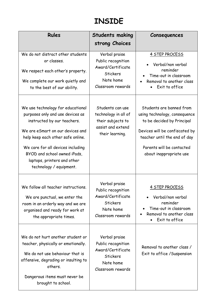# **INSIDE**

| <b>Rules</b>                                                                                                                                                                                                                                                                                                 | <b>Students making</b><br>strong Choices                                                                      | Consequences                                                                                                                                                                                                      |
|--------------------------------------------------------------------------------------------------------------------------------------------------------------------------------------------------------------------------------------------------------------------------------------------------------------|---------------------------------------------------------------------------------------------------------------|-------------------------------------------------------------------------------------------------------------------------------------------------------------------------------------------------------------------|
| We do not distract other students<br>or classes.<br>We respect each other's property.<br>We complete our work quietly and<br>to the best of our ability.                                                                                                                                                     | Verbal praise<br>Public recognition<br>Award/Certificate<br><b>Stickers</b><br>Note home<br>Classroom rewards | 4 STEP PROCESS<br>Verbal/non verbal<br>reminder<br>Time-out in classroom<br>Removal to another class<br>Exit to office                                                                                            |
| We use technology for educational<br>purposes only and use devices as<br>instructed by our teachers.<br>We are eSmart on our devices and<br>help keep each other safe online.<br>We care for all devices including<br>BYOD and school owned iPads,<br>laptops, printers and other<br>technology / equipment. | Students can use<br>technology in all of<br>their subjects to<br>assist and extend<br>their learning.         | Students are banned from<br>using technology, consequence<br>to be decided by Principal<br>Devices will be confiscated by<br>teacher until the end of day<br>Parents will be contacted<br>about inappropriate use |
| We follow all teacher instructions.<br>We are punctual, we enter the<br>room in an orderly way and we are<br>organised and ready for work at<br>the appropriate times.                                                                                                                                       | Verbal praise<br>Public recognition<br>Award/Certificate<br>Stickers<br>Note home<br>Classroom rewards        | 4 STEP PROCESS<br>Verbal/non verbal<br>reminder<br>Time-out in classroom<br>Removal to another class<br>Exit to office                                                                                            |
| We do not hurt another student or<br>teacher, physically or emotionally.<br>We do not use behaviour that is<br>offensive, degrading or insulting to<br>others.<br>Dangerous items must never be<br>brought to school.                                                                                        | Verbal praise<br>Public recognition<br>Award/Certificate<br>Stickers<br>Note home<br>Classroom rewards        | Removal to another class /<br>Exit to office / Suspension                                                                                                                                                         |